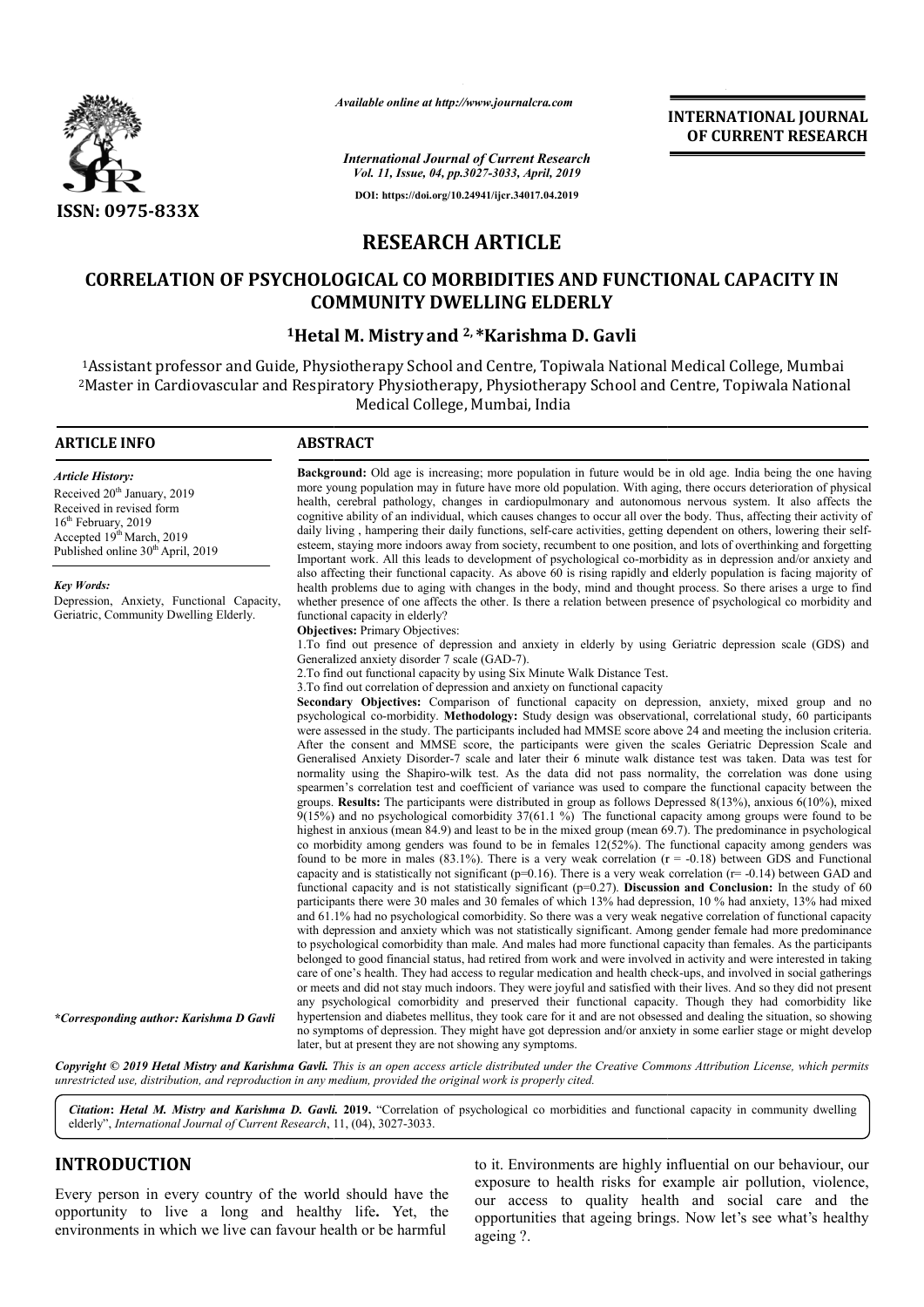

*Available online at http://www.journalcra.com*

*International Journal of Current Research Vol. 11, Issue, 04, pp.3027-3033, April, 2019* **DOI: https://doi.org/10.24941/ijcr.34017.04.2019**

**INTERNATIONAL JOURNAL OF CURRENT RESEARCH**

# **RESEARCH ARTICLE**

# **CORRELATION OF PSYCHOLOGICAL CO MORBIDITIES AND FUNCTIONAL CAPACITY IN PSYCHOLOGICAL CO COMMUNITY DWELLING ELDERLY**

# **1Hetal M Hetal M. Mistry and 2, \*Karishma D. Gavli**

1Assistant professor and Guide, Physiotherapy School and Centre, Topiwala National Medical College, Mumbai <sup>2</sup>Master in Cardiovascular and Respiratory Physiotherapy, Physiotherapy School and Centre, Topiwala National Medical College, Mumbai, India

#### **ARTICLE INFO ABSTRACT** Background: Old age is increasing; more population in future would be in old age. India being the one having more young population may in future have more old population. With aging, there occurs deterioration of physical health, cerebral pathology, changes in cardiopulmonary and autonomous nervous system. It also affects the cognitive ability of an individual, which causes changes to occur all over the body. Thus, affecting their activity of daily living, hampering their daily functions, self-care activities, getting dependent on others, lowering their selfesteem, staying more indoors away from society, recumbent to one position, and lots of overthinking and forgetting Important work. All this leads to development of psychological co-morbidity as in depression and/or anxiety and also affecting their functional capacity. As above 60 is rising rapidly and elderly population is facing majority of health problems due to aging with changes in the body, mind and thought process. So there arises a urge to find whether presence of one affects the other. Is there a relation between presence of psychological co morbidity and functional capacity in elderly? **Objectives: Primary Objectives:** 1.To find out presence of depression and anxiety in elderly by using Geriatric depression scale (GDS) and Generalized anxiety disorder 7 scale (GAD-7). 2.To find out functional capacity by using Six Minute Walk Distance Test. 3.To find out correlation of depression and anxiety on functional capacity **Secondary Objectives:** Comparison of functional capacity on depression, anxiety, mixed group and no psychological co-morbidity. **Methodology:** Study design was observational, correlational study, 60 participants were assessed in the study. The participants included had MMSE score above 24 and meeting the inclusion criteria. After the consent and MMSE score, the participants were given the scales Geriatric Depression Scale and Generalised Anxiety Disorder-7 scale and later their 6 minute walk distance test was taken. Data was test for normality using the Shapiro-wilk test. As the data did not pass normality, the correlation was done using spearmen's correlation test and coefficient of variance was used to compare the functional capacity between the groups. 9(15%) highest in anxious (mean 84.9) and least to be in the mixed group (mean 69.7). The predominance in psychological co morbidity among genders was found to be in females  $12(52%)$ . The functional capacity among genders was found to be more in males  $(83.1\%)$ . There is a very weak correlation  $(r = -0.18)$  between GDS and Functional capacity and is statistically not significant ( $p=0.16$ ). There is a very weak correlation ( $r=-0.14$ ) between GAD and functional capacity and is not statistically significant (p=0.27). **Discussion and Conclusion:** In the study of 60 participants there were 30 males and 30 females of which 13% had depression, 10 % had anxiety, 13% had mixed and 61.1% had no psychological comorbidity. So there was a very weak negative correlation of functional capacity with depression and anxiety which was not statistically significant. Among gender female had more predominance to psychological comorbidity than male. And males had more functional capacity than females. As the participants belonged to good financial status, had retired from work and were involved in activity and were interested in taking care of one's health. They had access to regular medication and health check-ups, and involved in social gatherings or meets and did not stay much indoors. They were joyful and satisfied with their lives. And so they did not present any psychological comorbidity and preserved their functional capacity. Though they had comorbidity like hypertension and diabetes mellitus, they took care for it and are not obsessed and dealing the situation, so showing no symptoms of depression. They might have got depression and/or anxiety in some earlier stage or might develop *Article History:* Received 20<sup>th</sup> January, 2019 Received in revised form 16<sup>th</sup> February, 2019 Accepted 19<sup>th</sup> March, 2019 Published online 30<sup>th</sup> April, 2019 *Key Words:* Depression, Anxiety, Functional Capacity, Geriatric, Community Dwelling Elderly. *\*Corresponding author: Karishma D Gavli* **Results:** The participants were distributed in group as follows Depressed ) and no psychological comorbidity  $37(61.1 \%)$ . The functional capacity 8(13%), anxious 6(10%), mixed among groups were found to be

Copyright © 2019 Hetal Mistry and Karishma Gavli. This is an open access article distributed under the Creative Commons Attribution License, which permits *unrestricted use, distribution, and reproduction in any medium, provided the original work is properly cited.*

later, but at present they are not showing any symptoms.

Citation: Hetal M. Mistry and Karishma D. Gavli. 2019. "Correlation of psychological co morbidities and functional capacity in community dwelling elderly", *International Journal of Current Research*, 11, (04), 3027-3033.

# **INTRODUCTION**

Every person in every country of the world should have the opportunity to live a long and healthy life**.** Yet, the environments in which we live can favour health or be harmful

to it. Environments are highly influential on our behaviour, our exposure to health risks for example air pollution, violence, our access to quality health and social care and the opportunities that ageing brings. Now let's see what's healthy ageing ?.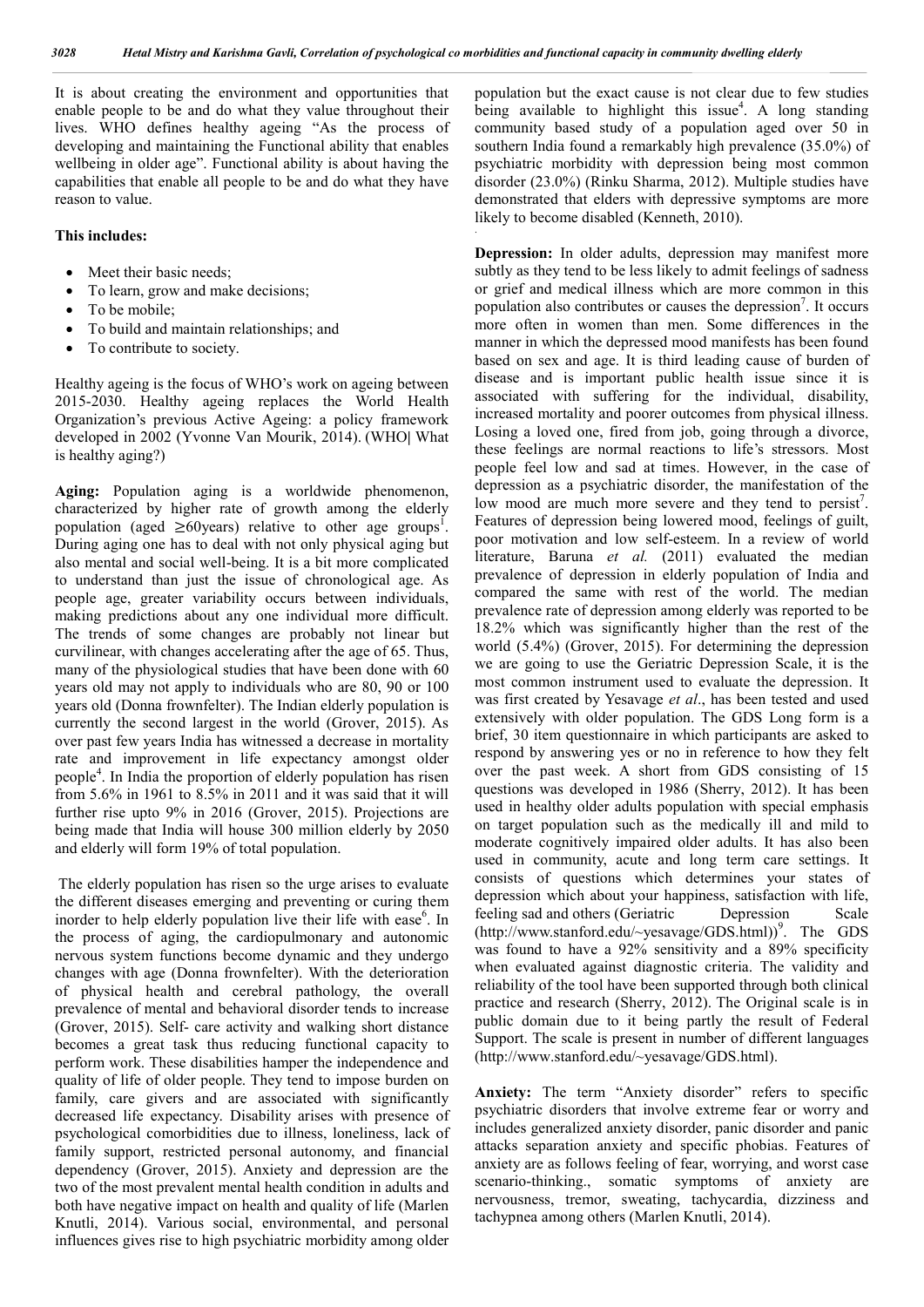It is about creating the environment and opportunities that enable people to be and do what they value throughout their lives. WHO defines healthy ageing "As the process of developing and maintaining the Functional ability that enables wellbeing in older age". Functional ability is about having the capabilities that enable all people to be and do what they have reason to value.

#### **This includes:**

- Meet their basic needs;
- To learn, grow and make decisions;
- To be mobile;
- To build and maintain relationships; and
- To contribute to society.

Healthy ageing is the focus of WHO's work on ageing between 2015-2030. Healthy ageing replaces the World Health Organization's previous Active Ageing: a policy framework developed in 2002 (Yvonne Van Mourik, 2014). (WHO**|** What is healthy aging?)

**Aging:** Population aging is a worldwide phenomenon, characterized by higher rate of growth among the elderly population (aged  $\geq 60$ years) relative to other age groups<sup>1</sup>. During aging one has to deal with not only physical aging but also mental and social well-being. It is a bit more complicated to understand than just the issue of chronological age. As people age, greater variability occurs between individuals, making predictions about any one individual more difficult. The trends of some changes are probably not linear but curvilinear, with changes accelerating after the age of 65. Thus, many of the physiological studies that have been done with 60 years old may not apply to individuals who are 80, 90 or 100 years old (Donna frownfelter). The Indian elderly population is currently the second largest in the world (Grover, 2015). As over past few years India has witnessed a decrease in mortality rate and improvement in life expectancy amongst older people<sup>4</sup> . In India the proportion of elderly population has risen from 5.6% in 1961 to 8.5% in 2011 and it was said that it will further rise upto 9% in 2016 (Grover, 2015). Projections are being made that India will house 300 million elderly by 2050 and elderly will form 19% of total population.

The elderly population has risen so the urge arises to evaluate the different diseases emerging and preventing or curing them inorder to help elderly population live their life with ease<sup>6</sup>. In the process of aging, the cardiopulmonary and autonomic nervous system functions become dynamic and they undergo changes with age (Donna frownfelter). With the deterioration of physical health and cerebral pathology, the overall prevalence of mental and behavioral disorder tends to increase (Grover, 2015). Self- care activity and walking short distance becomes a great task thus reducing functional capacity to perform work. These disabilities hamper the independence and quality of life of older people. They tend to impose burden on family, care givers and are associated with significantly decreased life expectancy. Disability arises with presence of psychological comorbidities due to illness, loneliness, lack of family support, restricted personal autonomy, and financial dependency (Grover, 2015). Anxiety and depression are the two of the most prevalent mental health condition in adults and both have negative impact on health and quality of life (Marlen Knutli, 2014). Various social, environmental, and personal influences gives rise to high psychiatric morbidity among older population but the exact cause is not clear due to few studies being available to highlight this issue $<sup>4</sup>$ . A long standing</sup> community based study of a population aged over 50 in southern India found a remarkably high prevalence (35.0%) of psychiatric morbidity with depression being most common disorder (23.0%) (Rinku Sharma, 2012). Multiple studies have demonstrated that elders with depressive symptoms are more likely to become disabled (Kenneth, 2010).

**Depression:** In older adults, depression may manifest more subtly as they tend to be less likely to admit feelings of sadness or grief and medical illness which are more common in this population also contributes or causes the depression<sup>7</sup>. It occurs more often in women than men. Some differences in the manner in which the depressed mood manifests has been found based on sex and age. It is third leading cause of burden of disease and is important public health issue since it is associated with suffering for the individual, disability, increased mortality and poorer outcomes from physical illness. Losing a loved one, fired from job, going through a divorce, these feelings are normal reactions to life's stressors. Most people feel low and sad at times. However, in the case of depression as a psychiatric disorder, the manifestation of the low mood are much more severe and they tend to persist<sup>7</sup>. Features of depression being lowered mood, feelings of guilt, poor motivation and low self-esteem. In a review of world literature, Baruna *et al.* (2011) evaluated the median prevalence of depression in elderly population of India and compared the same with rest of the world. The median prevalence rate of depression among elderly was reported to be 18.2% which was significantly higher than the rest of the world (5.4%) (Grover, 2015). For determining the depression we are going to use the Geriatric Depression Scale, it is the most common instrument used to evaluate the depression. It was first created by Yesavage *et al*., has been tested and used extensively with older population. The GDS Long form is a brief, 30 item questionnaire in which participants are asked to respond by answering yes or no in reference to how they felt over the past week. A short from GDS consisting of 15 questions was developed in 1986 (Sherry, 2012). It has been used in healthy older adults population with special emphasis on target population such as the medically ill and mild to moderate cognitively impaired older adults. It has also been used in community, acute and long term care settings. It consists of questions which determines your states of depression which about your happiness, satisfaction with life, feeling sad and others (Geriatric Depression Scale (http://www.stanford.edu/~yesavage/GDS.html))<sup>9</sup>. The GDS was found to have a 92% sensitivity and a 89% specificity when evaluated against diagnostic criteria. The validity and reliability of the tool have been supported through both clinical practice and research (Sherry, 2012). The Original scale is in public domain due to it being partly the result of Federal Support. The scale is present in number of different languages (http://www.stanford.edu/~yesavage/GDS.html).

Anxiety: The term "Anxiety disorder" refers to specific psychiatric disorders that involve extreme fear or worry and includes generalized anxiety disorder, panic disorder and panic attacks separation anxiety and specific phobias. Features of anxiety are as follows feeling of fear, worrying, and worst case scenario-thinking., somatic symptoms of anxiety are nervousness, tremor, sweating, tachycardia, dizziness and tachypnea among others (Marlen Knutli, 2014).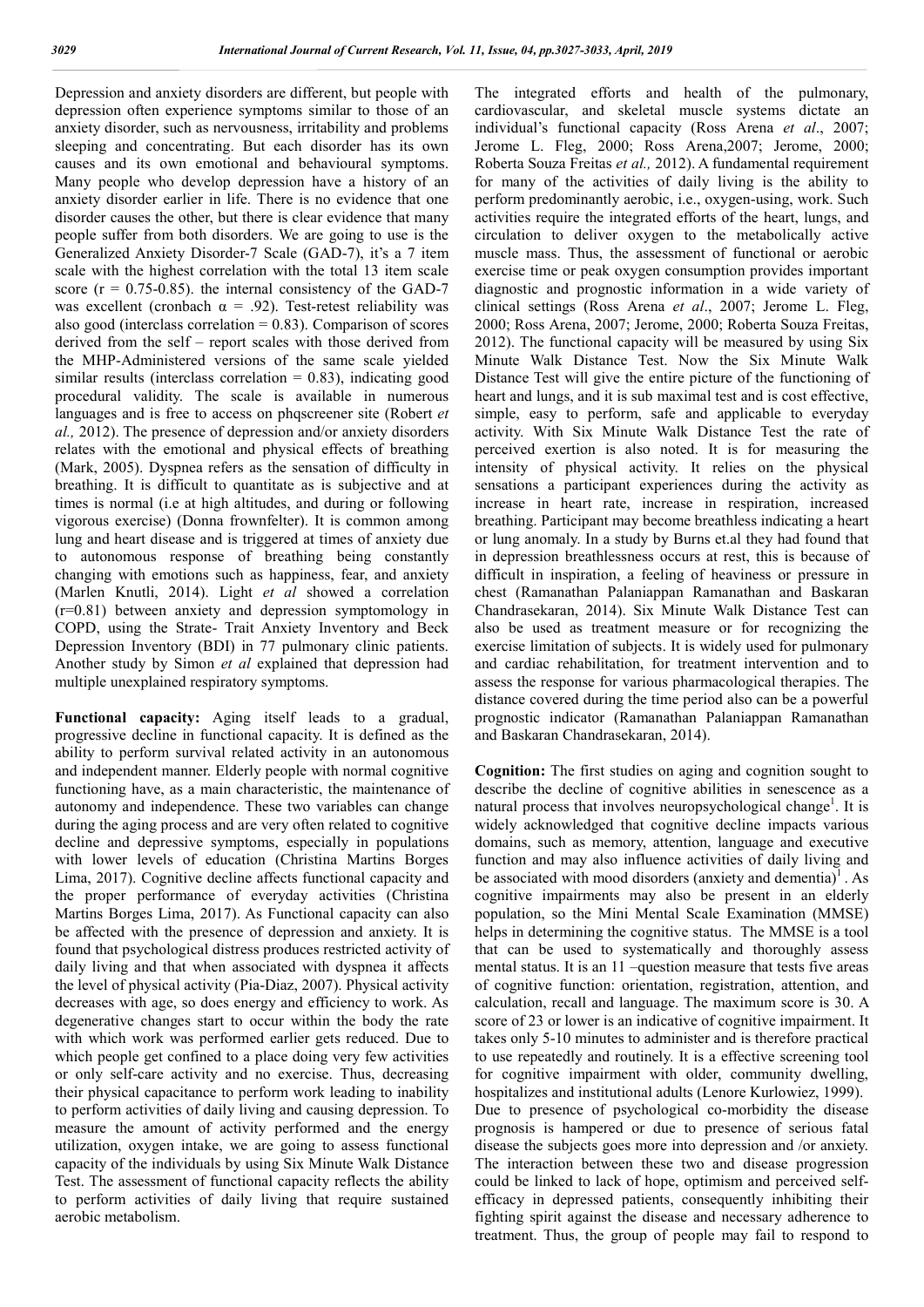Depression and anxiety disorders are different, but people with depression often experience symptoms similar to those of an anxiety disorder, such as nervousness, irritability and problems sleeping and concentrating. But each disorder has its own causes and its own emotional and behavioural symptoms. Many people who develop depression have a history of an anxiety disorder earlier in life. There is no evidence that one disorder causes the other, but there is clear evidence that many people suffer from both disorders. We are going to use is the Generalized Anxiety Disorder-7 Scale (GAD-7), it's a 7 item scale with the highest correlation with the total 13 item scale score  $(r = 0.75 - 0.85)$ . the internal consistency of the GAD-7 was excellent (cronbach  $\alpha = .92$ ). Test-retest reliability was also good (interclass correlation  $= 0.83$ ). Comparison of scores derived from the self – report scales with those derived from the MHP-Administered versions of the same scale yielded similar results (interclass correlation  $= 0.83$ ), indicating good procedural validity. The scale is available in numerous languages and is free to access on phqscreener site (Robert *et al.,* 2012). The presence of depression and/or anxiety disorders relates with the emotional and physical effects of breathing (Mark, 2005). Dyspnea refers as the sensation of difficulty in breathing. It is difficult to quantitate as is subjective and at times is normal (i.e at high altitudes, and during or following vigorous exercise) (Donna frownfelter). It is common among lung and heart disease and is triggered at times of anxiety due to autonomous response of breathing being constantly changing with emotions such as happiness, fear, and anxiety (Marlen Knutli, 2014). Light *et al* showed a correlation (r=0.81) between anxiety and depression symptomology in COPD, using the Strate- Trait Anxiety Inventory and Beck Depression Inventory (BDI) in 77 pulmonary clinic patients. Another study by Simon *et al* explained that depression had multiple unexplained respiratory symptoms.

**Functional capacity:** Aging itself leads to a gradual, progressive decline in functional capacity. It is defined as the ability to perform survival related activity in an autonomous and independent manner. Elderly people with normal cognitive functioning have, as a main characteristic, the maintenance of autonomy and independence. These two variables can change during the aging process and are very often related to cognitive decline and depressive symptoms, especially in populations with lower levels of education (Christina Martins Borges Lima, 2017). Cognitive decline affects functional capacity and the proper performance of everyday activities (Christina Martins Borges Lima, 2017). As Functional capacity can also be affected with the presence of depression and anxiety. It is found that psychological distress produces restricted activity of daily living and that when associated with dyspnea it affects the level of physical activity (Pia-Diaz, 2007). Physical activity decreases with age, so does energy and efficiency to work. As degenerative changes start to occur within the body the rate with which work was performed earlier gets reduced. Due to which people get confined to a place doing very few activities or only self-care activity and no exercise. Thus, decreasing their physical capacitance to perform work leading to inability to perform activities of daily living and causing depression. To measure the amount of activity performed and the energy utilization, oxygen intake, we are going to assess functional capacity of the individuals by using Six Minute Walk Distance Test. The assessment of functional capacity reflects the ability to perform activities of daily living that require sustained aerobic metabolism.

The integrated efforts and health of the pulmonary, cardiovascular, and skeletal muscle systems dictate an individual's functional capacity (Ross Arena *et al*., 2007; Jerome L. Fleg, 2000; Ross Arena,2007; Jerome, 2000; Roberta Souza Freitas *et al.,* 2012). A fundamental requirement for many of the activities of daily living is the ability to perform predominantly aerobic, i.e., oxygen-using, work. Such activities require the integrated efforts of the heart, lungs, and circulation to deliver oxygen to the metabolically active muscle mass. Thus, the assessment of functional or aerobic exercise time or peak oxygen consumption provides important diagnostic and prognostic information in a wide variety of clinical settings (Ross Arena *et al*., 2007; Jerome L. Fleg, 2000; Ross Arena, 2007; Jerome, 2000; Roberta Souza Freitas, 2012). The functional capacity will be measured by using Six Minute Walk Distance Test. Now the Six Minute Walk Distance Test will give the entire picture of the functioning of heart and lungs, and it is sub maximal test and is cost effective, simple, easy to perform, safe and applicable to everyday activity. With Six Minute Walk Distance Test the rate of perceived exertion is also noted. It is for measuring the intensity of physical activity. It relies on the physical sensations a participant experiences during the activity as increase in heart rate, increase in respiration, increased breathing. Participant may become breathless indicating a heart or lung anomaly. In a study by Burns et.al they had found that in depression breathlessness occurs at rest, this is because of difficult in inspiration, a feeling of heaviness or pressure in chest (Ramanathan Palaniappan Ramanathan and Baskaran Chandrasekaran, 2014). Six Minute Walk Distance Test can also be used as treatment measure or for recognizing the exercise limitation of subjects. It is widely used for pulmonary and cardiac rehabilitation, for treatment intervention and to assess the response for various pharmacological therapies. The distance covered during the time period also can be a powerful prognostic indicator (Ramanathan Palaniappan Ramanathan and Baskaran Chandrasekaran, 2014).

**Cognition:** The first studies on aging and cognition sought to describe the decline of cognitive abilities in senescence as a natural process that involves neuropsychological change<sup>1</sup>. It is widely acknowledged that cognitive decline impacts various domains, such as memory, attention, language and executive function and may also influence activities of daily living and be associated with mood disorders (anxiety and dementia)<sup>1</sup>. As cognitive impairments may also be present in an elderly population, so the Mini Mental Scale Examination (MMSE) helps in determining the cognitive status. The MMSE is a tool that can be used to systematically and thoroughly assess mental status. It is an 11 –question measure that tests five areas of cognitive function: orientation, registration, attention, and calculation, recall and language. The maximum score is 30. A score of 23 or lower is an indicative of cognitive impairment. It takes only 5-10 minutes to administer and is therefore practical to use repeatedly and routinely. It is a effective screening tool for cognitive impairment with older, community dwelling, hospitalizes and institutional adults (Lenore Kurlowiez, 1999). Due to presence of psychological co-morbidity the disease prognosis is hampered or due to presence of serious fatal disease the subjects goes more into depression and /or anxiety. The interaction between these two and disease progression could be linked to lack of hope, optimism and perceived selfefficacy in depressed patients, consequently inhibiting their fighting spirit against the disease and necessary adherence to treatment. Thus, the group of people may fail to respond to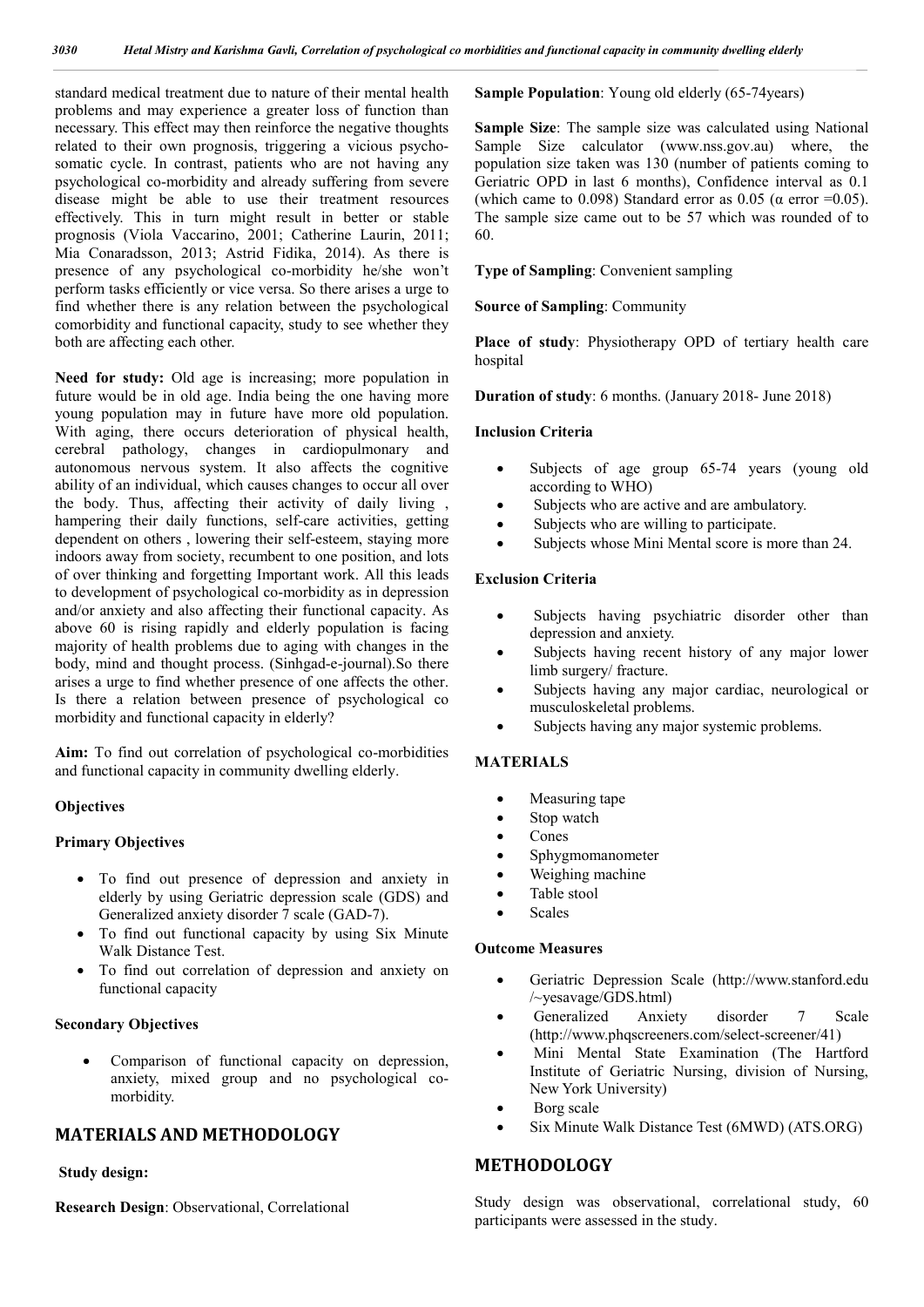standard medical treatment due to nature of their mental health problems and may experience a greater loss of function than necessary. This effect may then reinforce the negative thoughts related to their own prognosis, triggering a vicious psychosomatic cycle. In contrast, patients who are not having any psychological co-morbidity and already suffering from severe disease might be able to use their treatment resources effectively. This in turn might result in better or stable prognosis (Viola Vaccarino, 2001; Catherine Laurin, 2011; Mia Conaradsson, 2013; Astrid Fidika, 2014). As there is presence of any psychological co-morbidity he/she won't perform tasks efficiently or vice versa. So there arises a urge to find whether there is any relation between the psychological comorbidity and functional capacity, study to see whether they both are affecting each other.

**Need for study:** Old age is increasing; more population in future would be in old age. India being the one having more young population may in future have more old population. With aging, there occurs deterioration of physical health, cerebral pathology, changes in cardiopulmonary and autonomous nervous system. It also affects the cognitive ability of an individual, which causes changes to occur all over the body. Thus, affecting their activity of daily living , hampering their daily functions, self-care activities, getting dependent on others , lowering their self-esteem, staying more indoors away from society, recumbent to one position, and lots of over thinking and forgetting Important work. All this leads to development of psychological co-morbidity as in depression and/or anxiety and also affecting their functional capacity. As above 60 is rising rapidly and elderly population is facing majority of health problems due to aging with changes in the body, mind and thought process. (Sinhgad-e-journal).So there arises a urge to find whether presence of one affects the other. Is there a relation between presence of psychological co morbidity and functional capacity in elderly?

**Aim:** To find out correlation of psychological co-morbidities and functional capacity in community dwelling elderly.

### **Objectives**

### **Primary Objectives**

- To find out presence of depression and anxiety in elderly by using Geriatric depression scale (GDS) and Generalized anxiety disorder 7 scale (GAD-7).
- To find out functional capacity by using Six Minute Walk Distance Test.
- To find out correlation of depression and anxiety on functional capacity

### **Secondary Objectives**

 Comparison of functional capacity on depression, anxiety, mixed group and no psychological comorbidity.

# **MATERIALS AND METHODOLOGY**

### **Study design:**

**Research Design**: Observational, Correlational

**Sample Population**: Young old elderly (65-74years)

**Sample Size**: The sample size was calculated using National Sample Size calculator (www.nss.gov.au) where, the population size taken was 130 (number of patients coming to Geriatric OPD in last 6 months), Confidence interval as 0.1 (which came to 0.098) Standard error as 0.05 ( $\alpha$  error =0.05). The sample size came out to be 57 which was rounded of to 60.

### **Type of Sampling**: Convenient sampling

#### **Source of Sampling**: Community

**Place of study**: Physiotherapy OPD of tertiary health care hospital

**Duration of study**: 6 months. (January 2018- June 2018)

#### **Inclusion Criteria**

- Subjects of age group 65-74 years (young old according to WHO)
- Subjects who are active and are ambulatory.
- Subjects who are willing to participate.
- Subjects whose Mini Mental score is more than 24.

#### **Exclusion Criteria**

- Subjects having psychiatric disorder other than depression and anxiety.
- Subjects having recent history of any major lower limb surgery/ fracture.
- Subjects having any major cardiac, neurological or musculoskeletal problems.
- Subjects having any major systemic problems.

### **MATERIALS**

- Measuring tape
- Stop watch
- Cones
- Sphygmomanometer
- Weighing machine
- Table stool
- Scales

#### **Outcome Measures**

- Geriatric Depression Scale (http://www.stanford.edu /~yesavage/GDS.html)
- Generalized Anxiety disorder 7 Scale (http://www.phqscreeners.com/select-screener/41)
- Mini Mental State Examination (The Hartford Institute of Geriatric Nursing, division of Nursing, New York University)
- Borg scale
- Six Minute Walk Distance Test (6MWD) (ATS.ORG)

# **METHODOLOGY**

Study design was observational, correlational study, 60 participants were assessed in the study.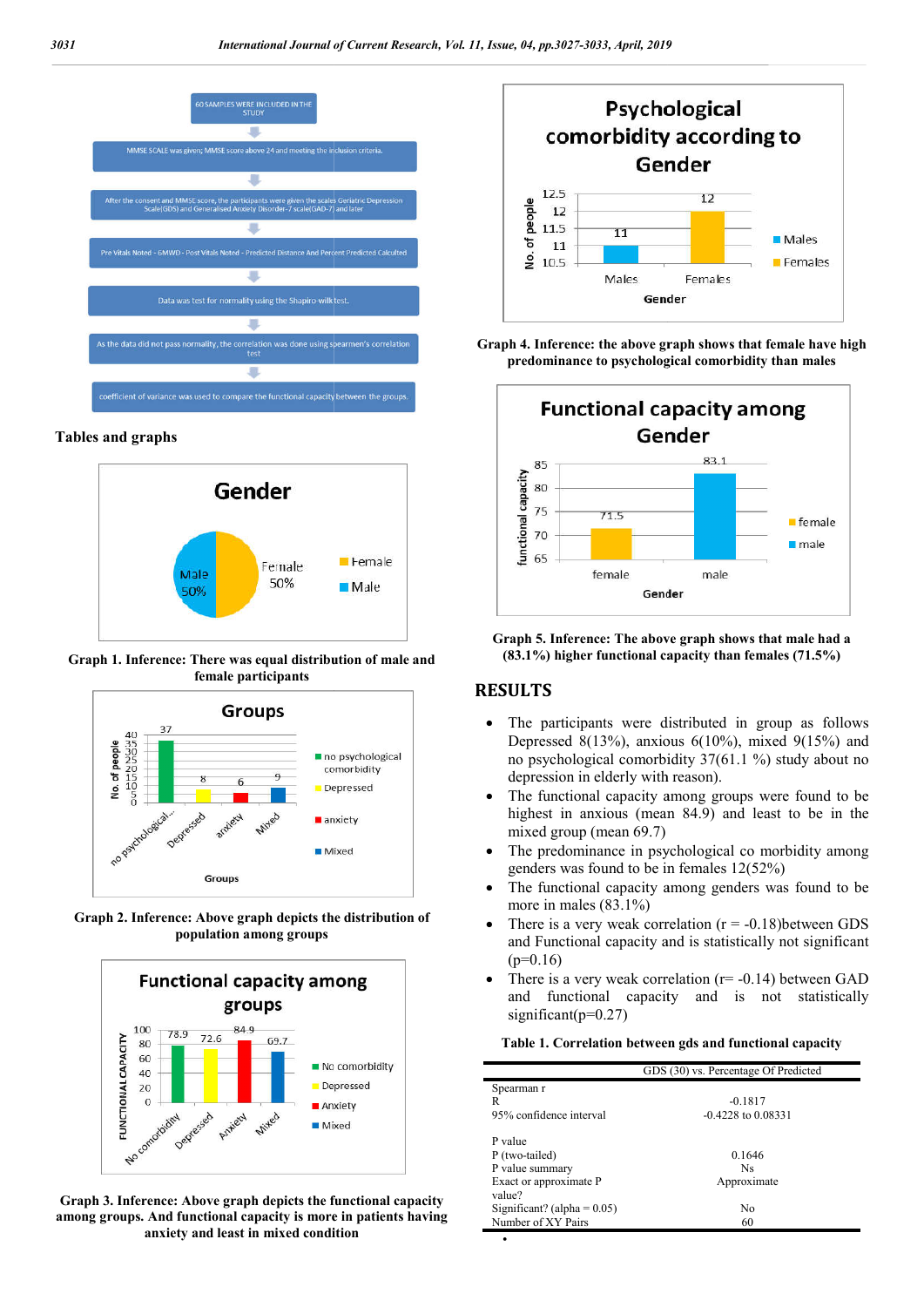

#### **Tables and graphs**



**Graph 1. Inference: There was equal distribution of male and female participants**



**Graph 2. Inference: Above graph depicts the distribution of population among groups**



**Graph 3. Inference: Above graph depicts the functional capacity among groups. And functional capacity is more in patients having anxiety and least in mixed condition**



**Graph 4. Inference: the above graph shows that female have high Graph predominance to psychological comorbidity than males**



**Graph 5. Inference: The above graph shows that male had a (83.1%)** higher functional capacity than females (71.5%)

## **RESULTS**

 $\bullet$ 

- The participants were distributed in group as follows Depressed 8(13%), anxious  $6(10\%)$ , mixed  $9(15\%)$  and no psychological comorbidity 37(61.1 %) study about no depression in elderly with reason).
- The functional capacity among groups were found to be highest in anxious (mean 84.9) and least to be in the mixed group (mean 69.7)
- The predominance in psychological co morbidity among genders was found to be in females 12(52%)
- The functional capacity among genders was found to be more in males (83.1%)
- There is a very weak correlation  $(r = -0.18)$ between GDS and Functional capacity and is statistically not significant  $(p=0.16)$
- There is a very weak correlation (r= -0.14) between GAD and functional capacity and is not statistically significant( $p=0.27$ )

#### **Table 1. Correlation between gds and functional capacity Correlation capacity**

| GDS (30) vs. Percentage Of Predicted            |  |
|-------------------------------------------------|--|
| Spearman r                                      |  |
| $-0.1817$<br>R                                  |  |
| 95% confidence interval<br>$-0.4228$ to 0.08331 |  |
| P value                                         |  |
| P (two-tailed)<br>0.1646                        |  |
| P value summary<br>Ns                           |  |
| Exact or approximate P<br>Approximate           |  |
| value?                                          |  |
| Significant? (alpha = $0.05$ )<br>No            |  |
| Number of XY Pairs<br>60                        |  |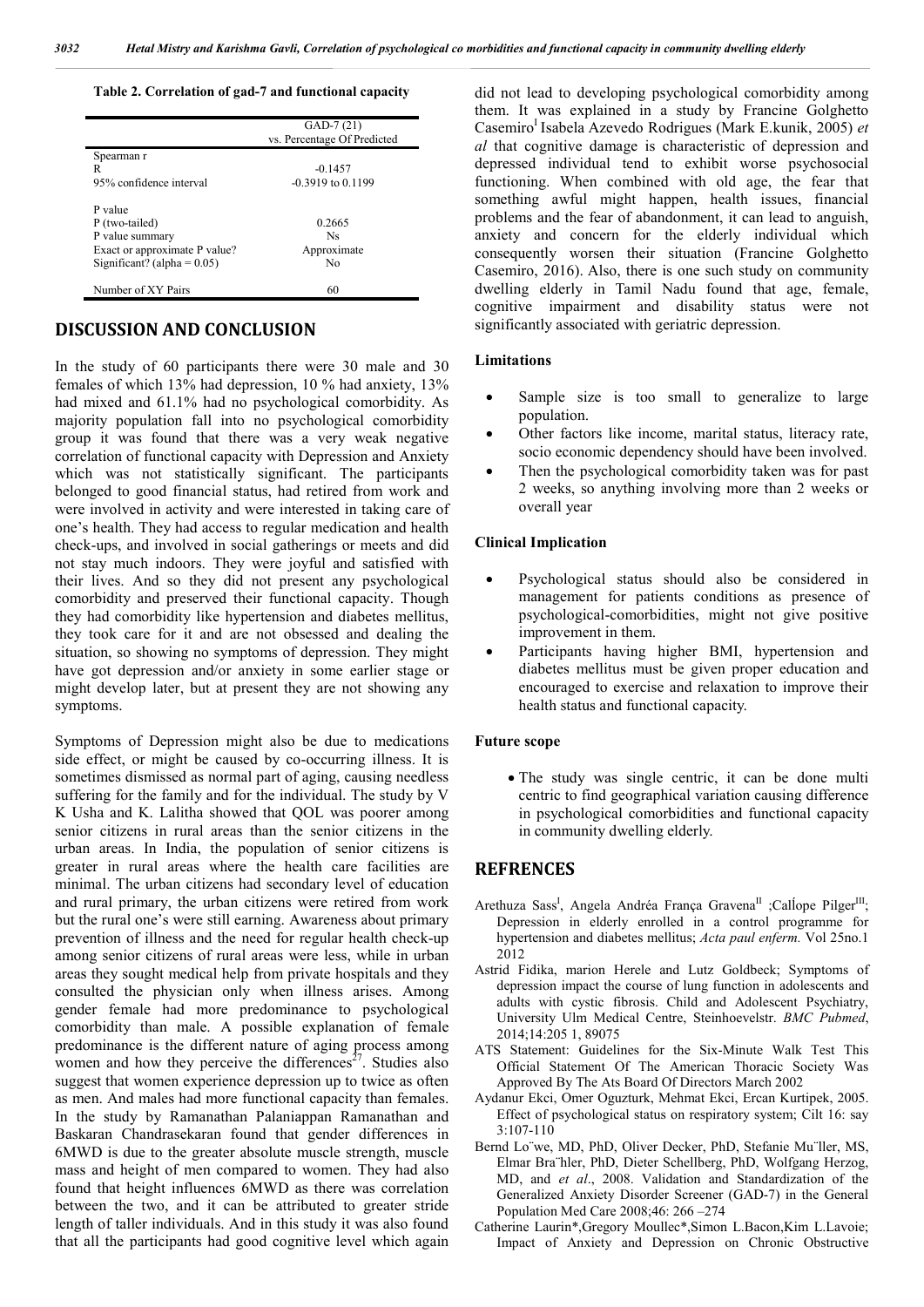#### **Table 2. Correlation of gad-7 and functional capacity**

|                                | $GAD-7(21)$<br>vs. Percentage Of Predicted |
|--------------------------------|--------------------------------------------|
| Spearman r                     |                                            |
| R                              | $-0.1457$                                  |
| 95% confidence interval        | $-0.3919$ to $0.1199$                      |
| P value                        |                                            |
| P (two-tailed)                 | 0.2665                                     |
| P value summary                | <b>Ns</b>                                  |
| Exact or approximate P value?  | Approximate                                |
| Significant? (alpha = $0.05$ ) | Nο                                         |
| Number of XY Pairs             | 60                                         |

# **DISCUSSION AND CONCLUSION**

In the study of 60 participants there were 30 male and 30 females of which 13% had depression, 10 % had anxiety, 13% had mixed and 61.1% had no psychological comorbidity. As majority population fall into no psychological comorbidity group it was found that there was a very weak negative correlation of functional capacity with Depression and Anxiety which was not statistically significant. The participants belonged to good financial status, had retired from work and were involved in activity and were interested in taking care of one's health. They had access to regular medication and health check-ups, and involved in social gatherings or meets and did not stay much indoors. They were joyful and satisfied with their lives. And so they did not present any psychological comorbidity and preserved their functional capacity. Though they had comorbidity like hypertension and diabetes mellitus, they took care for it and are not obsessed and dealing the situation, so showing no symptoms of depression. They might have got depression and/or anxiety in some earlier stage or might develop later, but at present they are not showing any symptoms.

Symptoms of Depression might also be due to medications side effect, or might be caused by co-occurring illness. It is sometimes dismissed as normal part of aging, causing needless suffering for the family and for the individual. The study by V K Usha and K. Lalitha showed that QOL was poorer among senior citizens in rural areas than the senior citizens in the urban areas. In India, the population of senior citizens is greater in rural areas where the health care facilities are minimal. The urban citizens had secondary level of education and rural primary, the urban citizens were retired from work but the rural one's were still earning. Awareness about primary prevention of illness and the need for regular health check-up among senior citizens of rural areas were less, while in urban areas they sought medical help from private hospitals and they consulted the physician only when illness arises. Among gender female had more predominance to psychological comorbidity than male. A possible explanation of female predominance is the different nature of aging process among women and how they perceive the differences<sup> $27$ </sup>. Studies also suggest that women experience depression up to twice as often as men. And males had more functional capacity than females. In the study by Ramanathan Palaniappan Ramanathan and Baskaran Chandrasekaran found that gender differences in 6MWD is due to the greater absolute muscle strength, muscle mass and height of men compared to women. They had also found that height influences 6MWD as there was correlation between the two, and it can be attributed to greater stride length of taller individuals. And in this study it was also found that all the participants had good cognitive level which again did not lead to developing psychological comorbidity among them. It was explained in a study by Francine Golghetto Casemiro<sup>I</sup> Isabela Azevedo Rodrigues (Mark E.kunik, 2005) et *al* that cognitive damage is characteristic of depression and depressed individual tend to exhibit worse psychosocial functioning. When combined with old age, the fear that something awful might happen, health issues, financial problems and the fear of abandonment, it can lead to anguish, anxiety and concern for the elderly individual which consequently worsen their situation (Francine Golghetto Casemiro, 2016). Also, there is one such study on community dwelling elderly in Tamil Nadu found that age, female, cognitive impairment and disability status were not significantly associated with geriatric depression.

#### **Limitations**

- Sample size is too small to generalize to large population.
- Other factors like income, marital status, literacy rate, socio economic dependency should have been involved.
- Then the psychological comorbidity taken was for past 2 weeks, so anything involving more than 2 weeks or overall year

#### **Clinical Implication**

- Psychological status should also be considered in management for patients conditions as presence of psychological-comorbidities, might not give positive improvement in them.
- Participants having higher BMI, hypertension and diabetes mellitus must be given proper education and encouraged to exercise and relaxation to improve their health status and functional capacity.

#### **Future scope**

 The study was single centric, it can be done multi centric to find geographical variation causing difference in psychological comorbidities and functional capacity in community dwelling elderly.

### **REFRENCES**

- Arethuza Sass<sup>I</sup>, Angela Andréa França Gravena<sup>II</sup> ;Callope Pilger<sup>III</sup>; Depression in elderly enrolled in a control programme for hypertension and diabetes mellitus; *Acta paul enferm.* Vol 25no.1 2012
- Astrid Fidika, marion Herele and Lutz Goldbeck; Symptoms of depression impact the course of lung function in adolescents and adults with cystic fibrosis. Child and Adolescent Psychiatry, University Ulm Medical Centre, Steinhoevelstr. *BMC Pubmed*, 2014;14:205 1, 89075
- ATS Statement: Guidelines for the Six-Minute Walk Test This Official Statement Of The American Thoracic Society Was Approved By The Ats Board Of Directors March 2002
- Aydanur Ekci, Omer Oguzturk, Mehmat Ekci, Ercan Kurtipek, 2005. Effect of psychological status on respiratory system; Cilt 16: say  $3:107-110$
- Bernd Lo¨we, MD, PhD, Oliver Decker, PhD, Stefanie Mu¨ller, MS, Elmar Bra¨hler, PhD, Dieter Schellberg, PhD, Wolfgang Herzog, MD, and *et al*., 2008. Validation and Standardization of the Generalized Anxiety Disorder Screener (GAD-7) in the General Population Med Care 2008;46: 266 –274
- Catherine Laurin\*,Gregory Moullec\*,Simon L.Bacon,Kim L.Lavoie; Impact of Anxiety and Depression on Chronic Obstructive